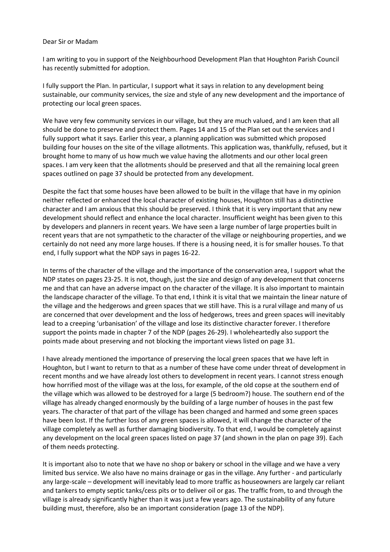## Dear Sir or Madam

I am writing to you in support of the Neighbourhood Development Plan that Houghton Parish Council has recently submitted for adoption.

I fully support the Plan. In particular, I support what it says in relation to any development being sustainable, our community services, the size and style of any new development and the importance of protecting our local green spaces.

We have very few community services in our village, but they are much valued, and I am keen that all should be done to preserve and protect them. Pages 14 and 15 of the Plan set out the services and I fully support what it says. Earlier this year, a planning application was submitted which proposed building four houses on the site of the village allotments. This application was, thankfully, refused, but it brought home to many of us how much we value having the allotments and our other local green spaces. I am very keen that the allotments should be preserved and that all the remaining local green spaces outlined on page 37 should be protected from any development.

Despite the fact that some houses have been allowed to be built in the village that have in my opinion neither reflected or enhanced the local character of existing houses, Houghton still has a distinctive character and I am anxious that this should be preserved. I think that it is very important that any new development should reflect and enhance the local character. Insufficient weight has been given to this by developers and planners in recent years. We have seen a large number of large properties built in recent years that are not sympathetic to the character of the village or neighbouring properties, and we certainly do not need any more large houses. If there is a housing need, it is for smaller houses. To that end, I fully support what the NDP says in pages 16-22.

In terms of the character of the village and the importance of the conservation area, I support what the NDP states on pages 23-25. It is not, though, just the size and design of any development that concerns me and that can have an adverse impact on the character of the village. It is also important to maintain the landscape character of the village. To that end, I think it is vital that we maintain the linear nature of the village and the hedgerows and green spaces that we still have. This is a rural village and many of us are concerned that over development and the loss of hedgerows, trees and green spaces will inevitably lead to a creeping 'urbanisation' of the village and lose its distinctive character forever. I therefore support the points made in chapter 7 of the NDP (pages 26-29). I wholeheartedly also support the points made about preserving and not blocking the important views listed on page 31.

I have already mentioned the importance of preserving the local green spaces that we have left in Houghton, but I want to return to that as a number of these have come under threat of development in recent months and we have already lost others to development in recent years. I cannot stress enough how horrified most of the village was at the loss, for example, of the old copse at the southern end of the village which was allowed to be destroyed for a large (5 bedroom?) house. The southern end of the village has already changed enormously by the building of a large number of houses in the past few years. The character of that part of the village has been changed and harmed and some green spaces have been lost. If the further loss of any green spaces is allowed, it will change the character of the village completely as well as further damaging biodiversity. To that end, I would be completely against any development on the local green spaces listed on page 37 (and shown in the plan on page 39). Each of them needs protecting.

It is important also to note that we have no shop or bakery or school in the village and we have a very limited bus service. We also have no mains drainage or gas in the village. Any further - and particularly any large-scale – development will inevitably lead to more traffic as houseowners are largely car reliant and tankers to empty septic tanks/cess pits or to deliver oil or gas. The traffic from, to and through the village is already significantly higher than it was just a few years ago. The sustainability of any future building must, therefore, also be an important consideration (page 13 of the NDP).